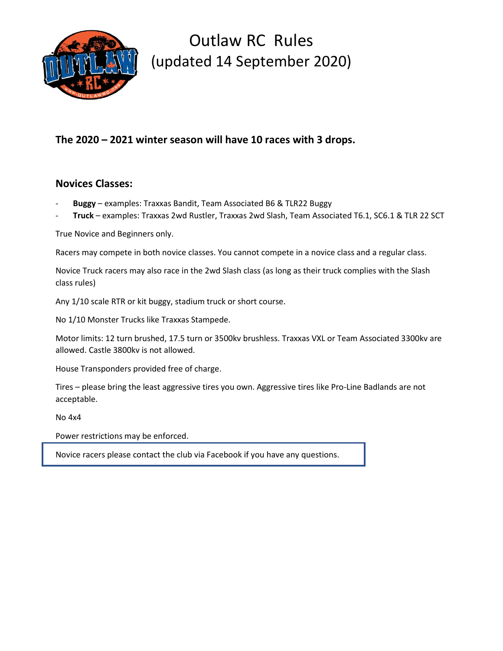

## **The 2020 – 2021 winter season will have 10 races with 3 drops.**

### **Novices Classes:**

- **Buggy** examples: Traxxas Bandit, Team Associated B6 & TLR22 Buggy
- **Truck** examples: Traxxas 2wd Rustler, Traxxas 2wd Slash, Team Associated T6.1, SC6.1 & TLR 22 SCT

True Novice and Beginners only.

Racers may compete in both novice classes. You cannot compete in a novice class and a regular class.

Novice Truck racers may also race in the 2wd Slash class (as long as their truck complies with the Slash class rules)

Any 1/10 scale RTR or kit buggy, stadium truck or short course.

No 1/10 Monster Trucks like Traxxas Stampede.

Motor limits: 12 turn brushed, 17.5 turn or 3500kv brushless. Traxxas VXL or Team Associated 3300kv are allowed. Castle 3800kv is not allowed.

House Transponders provided free of charge.

Tires – please bring the least aggressive tires you own. Aggressive tires like Pro-Line Badlands are not acceptable.

No 4x4

Power restrictions may be enforced.

Novice racers please contact the club via Facebook if you have any questions.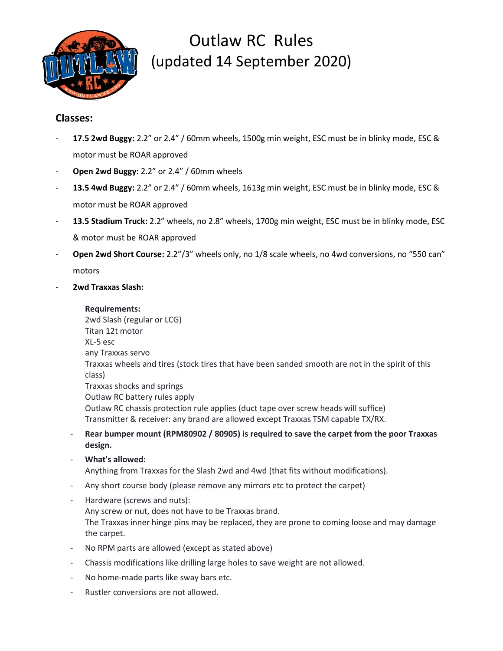

#### **Classes:**

- **17.5 2wd Buggy:** 2.2" or 2.4" / 60mm wheels, 1500g min weight, ESC must be in blinky mode, ESC & motor must be ROAR approved
- **Open 2wd Buggy:** 2.2" or 2.4" / 60mm wheels
- **13.5 4wd Buggy:** 2.2" or 2.4" / 60mm wheels, 1613g min weight, ESC must be in blinky mode, ESC & motor must be ROAR approved
- **13.5 Stadium Truck:** 2.2" wheels, no 2.8" wheels, 1700g min weight, ESC must be in blinky mode, ESC & motor must be ROAR approved
- **Open 2wd Short Course:** 2.2"/3" wheels only, no 1/8 scale wheels, no 4wd conversions, no "550 can" motors
- **2wd Traxxas Slash:**

#### **Requirements:**

2wd Slash (regular or LCG) Titan 12t motor XL-5 esc any Traxxas servo Traxxas wheels and tires (stock tires that have been sanded smooth are not in the spirit of this class) Traxxas shocks and springs Outlaw RC battery rules apply Outlaw RC chassis protection rule applies (duct tape over screw heads will suffice) Transmitter & receiver: any brand are allowed except Traxxas TSM capable TX/RX.

- **Rear bumper mount (RPM80902 / 80905) is required to save the carpet from the poor Traxxas design.**
- **What's allowed:** Anything from Traxxas for the Slash 2wd and 4wd (that fits without modifications).
- Any short course body (please remove any mirrors etc to protect the carpet)
- Hardware (screws and nuts): Any screw or nut, does not have to be Traxxas brand. The Traxxas inner hinge pins may be replaced, they are prone to coming loose and may damage the carpet.
- No RPM parts are allowed (except as stated above)
- Chassis modifications like drilling large holes to save weight are not allowed.
- No home-made parts like sway bars etc.
- Rustler conversions are not allowed.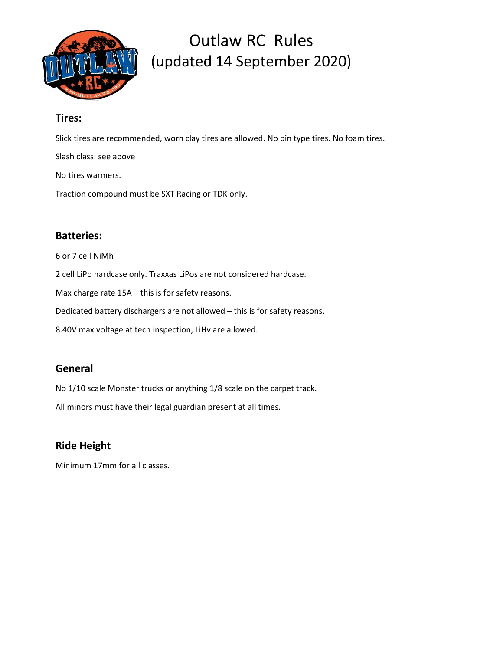

### **Tires:**

Slick tires are recommended, worn clay tires are allowed. No pin type tires. No foam tires.

Slash class: see above

No tires warmers.

Traction compound must be SXT Racing or TDK only.

### **Batteries:**

6 or 7 cell NiMh

2 cell LiPo hardcase only. Traxxas LiPos are not considered hardcase.

Max charge rate 15A – this is for safety reasons.

Dedicated battery dischargers are not allowed – this is for safety reasons.

8.40V max voltage at tech inspection, LiHv are allowed.

### **General**

No 1/10 scale Monster trucks or anything 1/8 scale on the carpet track.

All minors must have their legal guardian present at all times.

### **Ride Height**

Minimum 17mm for all classes.